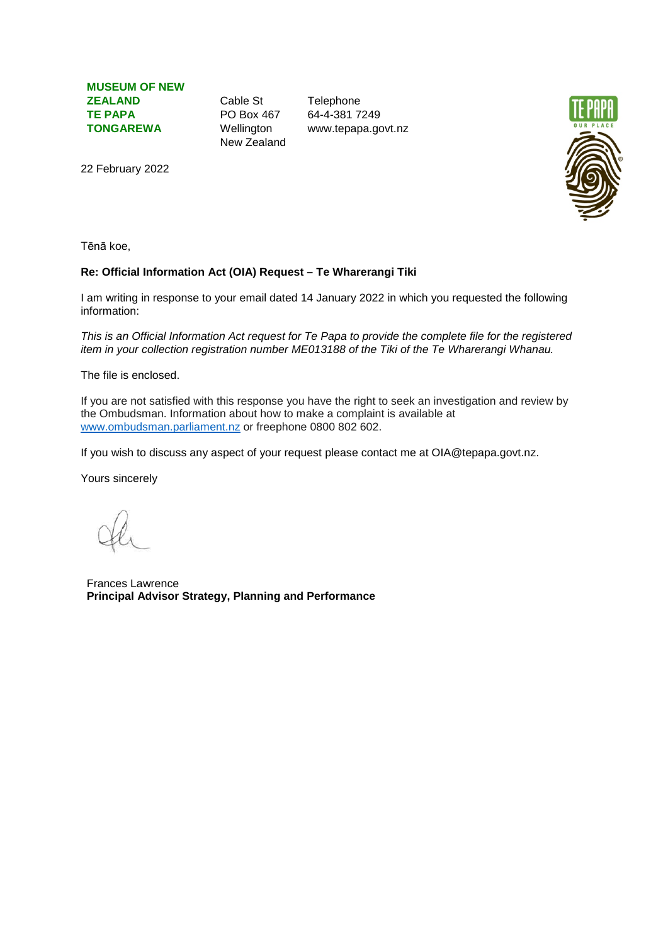**MUSEUM OF NEW ZEALAND TE PAPA TONGAREWA**

Cable St PO Box 467 Wellington New Zealand

**Telephone** 64-4-381 7249 www.tepapa.govt.nz



22 February 2022

Tēnā koe,

## **Re: Official Information Act (OIA) Request – Te Wharerangi Tiki**

I am writing in response to your email dated 14 January 2022 in which you requested the following information:

*This is an Official Information Act request for Te Papa to provide the complete file for the registered item in your collection registration number ME013188 of the Tiki of the Te Wharerangi Whanau.*

The file is enclosed.

If you are not satisfied with this response you have the right to seek an investigation and review by the Ombudsman. Information about how to make a complaint is available at [www.ombudsman.parliament.nz](http://www.ombudsman.parliament.nz/) or freephone 0800 802 602.

If you wish to discuss any aspect of your request please contact me at OIA@tepapa.govt.nz.

Yours sincerely

Frances Lawrence **Principal Advisor Strategy, Planning and Performance**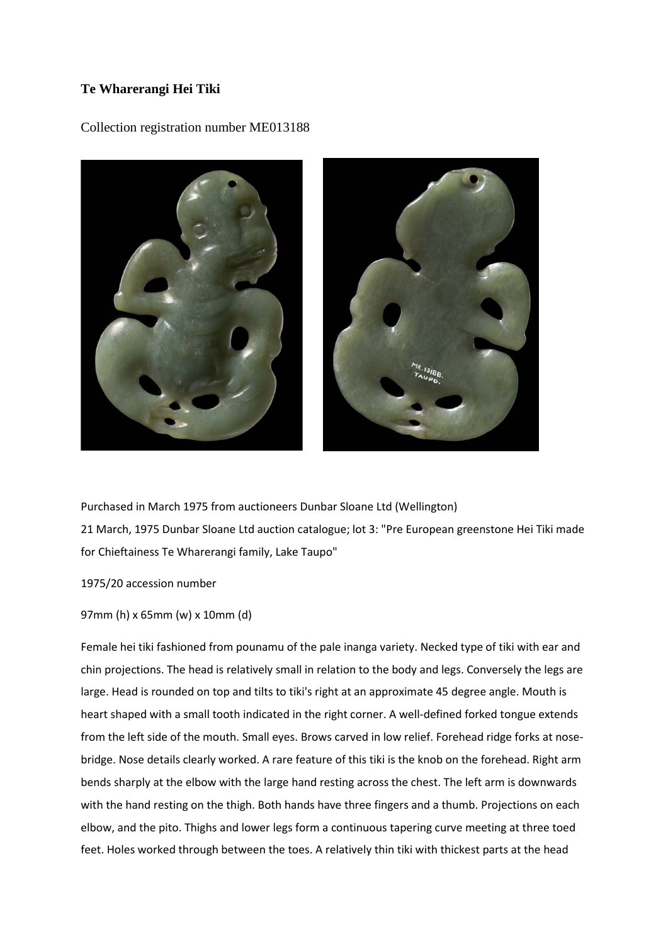## **Te Wharerangi Hei Tiki**

Collection registration number ME013188



Purchased in March 1975 from auctioneers Dunbar Sloane Ltd (Wellington) 21 March, 1975 Dunbar Sloane Ltd auction catalogue; lot 3: "Pre European greenstone Hei Tiki made for Chieftainess Te Wharerangi family, Lake Taupo"

1975/20 accession number

## 97mm (h) x 65mm (w) x 10mm (d)

Female hei tiki fashioned from pounamu of the pale inanga variety. Necked type of tiki with ear and chin projections. The head is relatively small in relation to the body and legs. Conversely the legs are large. Head is rounded on top and tilts to tiki's right at an approximate 45 degree angle. Mouth is heart shaped with a small tooth indicated in the right corner. A well-defined forked tongue extends from the left side of the mouth. Small eyes. Brows carved in low relief. Forehead ridge forks at nosebridge. Nose details clearly worked. A rare feature of this tiki is the knob on the forehead. Right arm bends sharply at the elbow with the large hand resting across the chest. The left arm is downwards with the hand resting on the thigh. Both hands have three fingers and a thumb. Projections on each elbow, and the pito. Thighs and lower legs form a continuous tapering curve meeting at three toed feet. Holes worked through between the toes. A relatively thin tiki with thickest parts at the head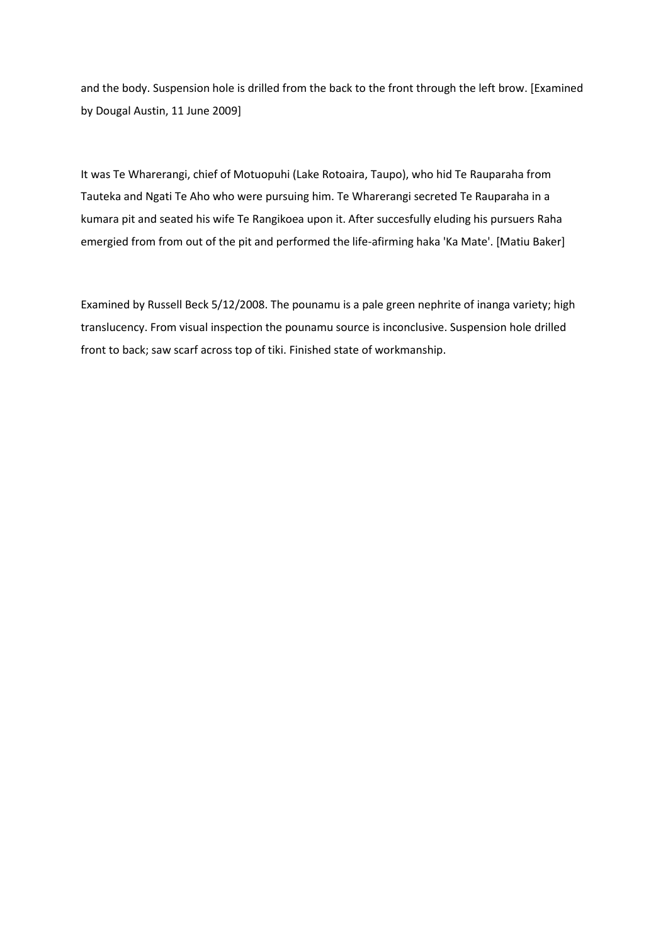and the body. Suspension hole is drilled from the back to the front through the left brow. [Examined by Dougal Austin, 11 June 2009]

It was Te Wharerangi, chief of Motuopuhi (Lake Rotoaira, Taupo), who hid Te Rauparaha from Tauteka and Ngati Te Aho who were pursuing him. Te Wharerangi secreted Te Rauparaha in a kumara pit and seated his wife Te Rangikoea upon it. After succesfully eluding his pursuers Raha emergied from from out of the pit and performed the life-afirming haka 'Ka Mate'. [Matiu Baker]

Examined by Russell Beck 5/12/2008. The pounamu is a pale green nephrite of inanga variety; high translucency. From visual inspection the pounamu source is inconclusive. Suspension hole drilled front to back; saw scarf across top of tiki. Finished state of workmanship.